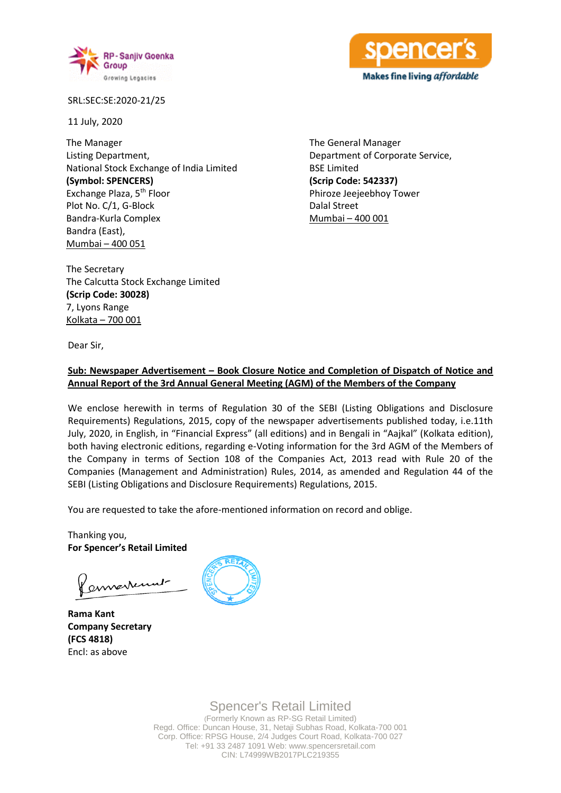



SRL:SEC:SE:2020-21/25

11 July, 2020

The Manager Listing Department, National Stock Exchange of India Limited **(Symbol: SPENCERS)** Exchange Plaza, 5th Floor Plot No. C/1, G-Block Bandra-Kurla Complex Bandra (East), Mumbai – 400 051

The General Manager Department of Corporate Service, BSE Limited **(Scrip Code: 542337)** Phiroze Jeejeebhoy Tower Dalal Street Mumbai – 400 001

The Secretary The Calcutta Stock Exchange Limited **(Scrip Code: 30028)** 7, Lyons Range Kolkata – 700 001

Dear Sir,

## **Sub: Newspaper Advertisement – Book Closure Notice and Completion of Dispatch of Notice and Annual Report of the 3rd Annual General Meeting (AGM) of the Members of the Company**

We enclose herewith in terms of Regulation 30 of the SEBI (Listing Obligations and Disclosure Requirements) Regulations, 2015, copy of the newspaper advertisements published today, i.e.11th July, 2020, in English, in "Financial Express" (all editions) and in Bengali in "Aajkal" (Kolkata edition), both having electronic editions, regarding e-Voting information for the 3rd AGM of the Members of the Company in terms of Section 108 of the Companies Act, 2013 read with Rule 20 of the Companies (Management and Administration) Rules, 2014, as amended and Regulation 44 of the SEBI (Listing Obligations and Disclosure Requirements) Regulations, 2015.

You are requested to take the afore-mentioned information on record and oblige.

Thanking you, **For Spencer's Retail Limited**

ermarrenne

**Rama Kant Company Secretary (FCS 4818)** Encl: as above



# Spencer's Retail Limited

(Formerly Known as RP-SG Retail Limited) Regd. Office: Duncan House, 31, Netaji Subhas Road, Kolkata-700 001 Corp. Office: RPSG House, 2/4 Judges Court Road, Kolkata-700 027 Tel: +91 33 2487 1091 Web: www.spencersretail.com CIN: L74999WB2017PLC219355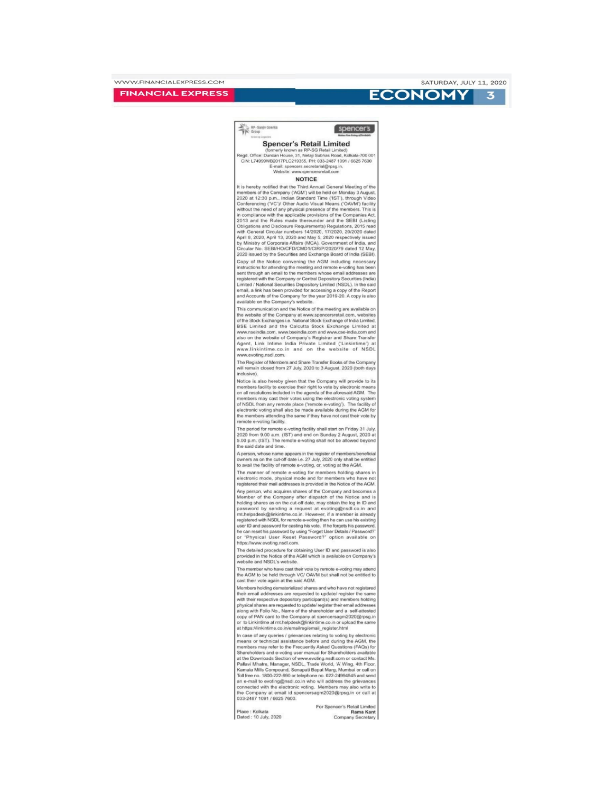## **FINANCIAL EXPRESS**



## **ECONOMY**

RP-Sanjiy Goenka spencer's **Spencer's Retail Limited** legd. Office: Duncari House, 31, Netaji Subhas Road, Kolkata-700 0<br>CIN: L74999WB2017PLC219355, PH: 033-2487 1091 / 6625 7600<br>E-mail: spencers.secretarial@rpsg.in,<br>F-Website: www.spencersretail.com<br>Website: www.spencersreta 700 001 **NOTICE** It is hereby notified that the Third Annual General Meeting of the<br>members of the Company (AGM) will be held on Monday 3 August,<br>2020 at 12:30 p.m., Indian Standard Time ('IST'), through Video<br>Conferencing ('VC')/ Other Au vithout the need of any physical presence of the members. This is in compliance with the applicable provisions of the Companies Act,<br>2013 and the Rules made thereunder and the SEBI (Listing 2013 and the Rules made thereunder and the SEBI (Listing<br>Cobilgiations and Disclosure Requirements) Regulations, 2015 read<br>with General Circular numbers 14/2020, 17/2020, 20/2020 dated<br>April 8, 2020, April 13, 2020 and May

Copy of the Notice convening the AGM including necessary<br>instructions for attending the meeting and remote e-voting has been sent through an email to the members whose email addresses are sent unrough an email to the members whose email advances are registered with the Company or Central Depository Securities (India) Limited / National Securities Depository Limited (NSDL). In the said email, a link has been

available on the company at www.spencersrelail.com, websites<br>This communication and the Notice of the meeting are available on<br>the Woedsck Exchanges i.e. National Slock Exchange of India Limited<br>SISE Limited and the Calcut ww.nseindia.com. www.bseindia.com and www.cse-india.com and www.liselund.com, www.bestitute.org/state.org/state.org/state.org/state/state/state/state/state/state/state/state/state/state/state/state/state/state/state/state/state/state/state/state/state/state/state/state/state/state/ www.evoting.nsdl.com.

The Register of Members and Share Transfer Books of the Company<br>will remain closed from 27 July, 2020 to 3 August, 2020 (both days inclusive).

Notice is also hereby given that the Company will provide to its Notice is also networp given that the Company will provide to the<br>members facility to exercise their right to vote by electronic means<br>on all resolutions included in the agenda of the aforesaid AGM. The<br>members may cast th the members attending the same if they have not cast their vote by remote e-voting facility.

The period for remote e-voting facility shall start on Friday 31 July 2020 from 9.00 a.m. (IST) and end on Sunday 2 August, 2020 at 5.00 p.m. (IST). The remote e-voting shall not be allowed beyond<br>the said date and time.

A person, whose name appears in the register of me owners as on the cut-off date i.e. 27 July, 2020 only shall be entitled<br>to avail the facility of remote e-voting, or, voting at the AGM.

The manner of remote e-voting for members holding shares in<br>electronic mode, physical mode and for members who have not<br>registered their mail addresses is provided in the Notice of the AGM.

Any person, who acquires shares of the Company and becomes a<br>Member of the Company after dispatch of the Notice and is<br>holding shares as on the cut-off date, may obtain the log in ID and password by sending a request at evoting@nsdl.co.in and password by sending a request at evolution and methods of material and registered with NSDL for remote e-voting then he can use his existing registered with NSDL for remote e-voting then he can use his existing user ID and https://www.evoting.nsdl.com.

The detailed procedure for obtaining User ID and password is also<br>provided in the Notice of the AGM which is available on Company's website and NSDL's website.

mber who have cast their vote by rer The me mote e-voting may attend the AGM to be held through VC/ OAVM but shall not be entitled to cast their vote again at the said AGM.

Members holding dematerialized shares and who have not registered their email addresses are requested to update/ register the same their email addresses are requested to update/register the same<br>with their respective depository participant(s) and members holding<br>physical shares are requested to update/register their email addresses<br>along with Ficilo N at https://linkintime.co.in/emailreg/email\_register.html

In case of any queries / grievances relating to voting by e means or technical assistance before and during the AGM, the members may refer to the Frequently Asked Questions (FAQs) for<br>members may refer to the Frequently Asked Questions (FAQs) for<br>Shareholders and e-voting user manual for Shareholders available<br>at the Downloads Section of www Kamala Mills Compound, Senapati Bapat Marg, Mumbai or call or Toll free no. 1800-222-990 or telephone no. 022-24994545 and send For the Concept Control of the extension of the concept of the distance and an e-mail to evolting@nsdl.co.in who will address the grievance connected with the electronic voting. Members may also write the Company at email

Place : Kolkata<br>Dated : 10 July, 2020

For Spencer's Retail Lin Rama Kant<br>Company Secretary